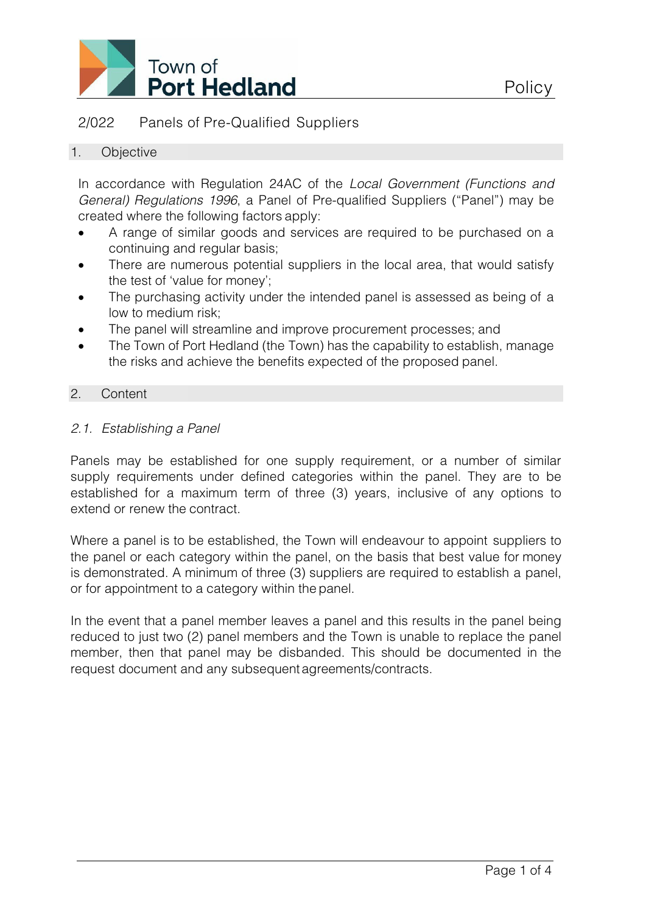

# 2/022 Panels of Pre-Qualified Suppliers

#### 1. Objective

In accordance with Regulation 24AC of the *Local Government (Functions and General) Regulations 1996*, a Panel of Pre-qualified Suppliers ("Panel") may be created where the following factors apply:

- A range of similar goods and services are required to be purchased on a continuing and regular basis;
- There are numerous potential suppliers in the local area, that would satisfy the test of 'value for money';
- The purchasing activity under the intended panel is assessed as being of a low to medium risk;
- The panel will streamline and improve procurement processes; and
- The Town of Port Hedland (the Town) has the capability to establish, manage the risks and achieve the benefits expected of the proposed panel.

#### 2. Content

## *2.1. Establishing a Panel*

Panels may be established for one supply requirement, or a number of similar supply requirements under defined categories within the panel. They are to be established for a maximum term of three (3) years, inclusive of any options to extend or renew the contract.

Where a panel is to be established, the Town will endeavour to appoint suppliers to the panel or each category within the panel, on the basis that best value for money is demonstrated. A minimum of three (3) suppliers are required to establish a panel, or for appointment to a category within the panel.

In the event that a panel member leaves a panel and this results in the panel being reduced to just two (2) panel members and the Town is unable to replace the panel member, then that panel may be disbanded. This should be documented in the request document and any subsequentagreements/contracts.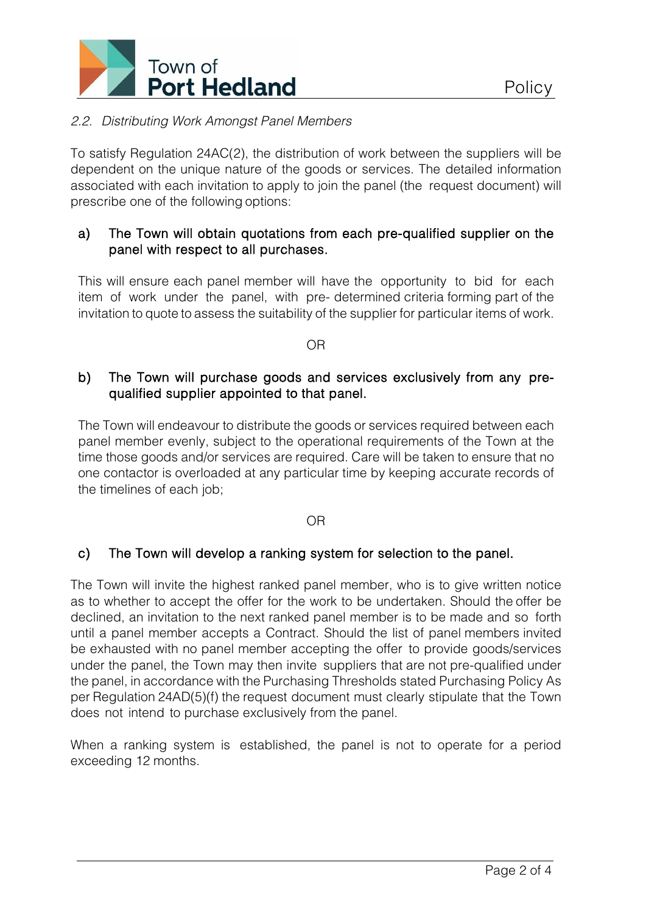

## *2.2. Distributing Work Amongst Panel Members*

To satisfy Regulation 24AC(2), the distribution of work between the suppliers will be dependent on the unique nature of the goods or services. The detailed information associated with each invitation to apply to join the panel (the request document) will prescribe one of the following options:

#### a) The Town will obtain quotations from each pre-qualified supplier on the panel with respect to all purchases.

This will ensure each panel member will have the opportunity to bid for each item of work under the panel, with pre- determined criteria forming part of the invitation to quote to assess the suitability of the supplier for particular items of work.

OR

## b) The Town will purchase goods and services exclusively from any prequalified supplier appointed to that panel.

The Town will endeavour to distribute the goods or services required between each panel member evenly, subject to the operational requirements of the Town at the time those goods and/or services are required. Care will be taken to ensure that no one contactor is overloaded at any particular time by keeping accurate records of the timelines of each job;

OR

## c) The Town will develop a ranking system for selection to the panel.

The Town will invite the highest ranked panel member, who is to give written notice as to whether to accept the offer for the work to be undertaken. Should the offer be declined, an invitation to the next ranked panel member is to be made and so forth until a panel member accepts a Contract. Should the list of panel members invited be exhausted with no panel member accepting the offer to provide goods/services under the panel, the Town may then invite suppliers that are not pre-qualified under the panel, in accordance with the Purchasing Thresholds stated Purchasing Policy As per Regulation 24AD(5)(f) the request document must clearly stipulate that the Town does not intend to purchase exclusively from the panel.

When a ranking system is established, the panel is not to operate for a period exceeding 12 months.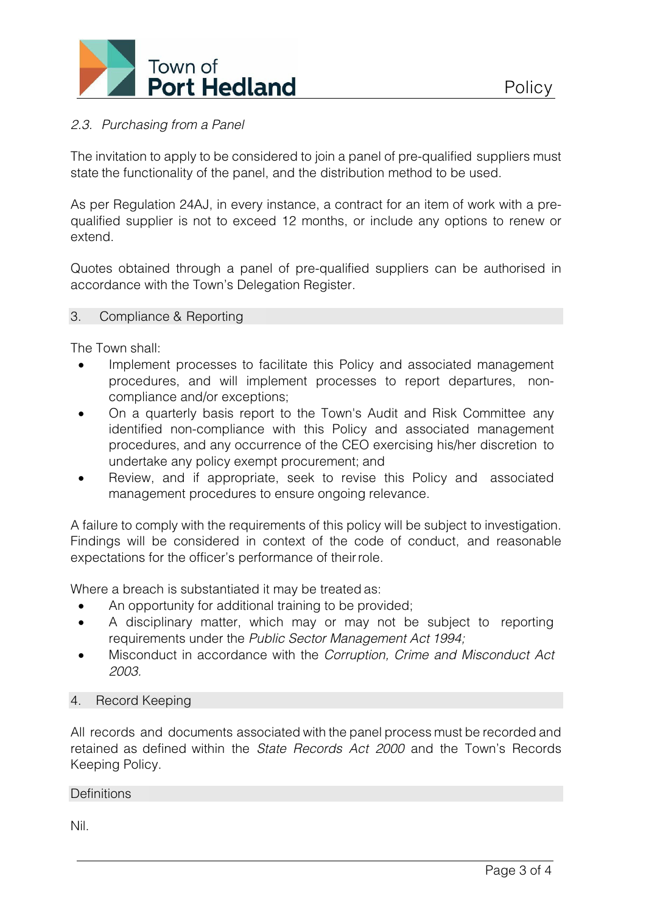

## *2.3. Purchasing from a Panel*

The invitation to apply to be considered to join a panel of pre-qualified suppliers must state the functionality of the panel, and the distribution method to be used.

As per Regulation 24AJ, in every instance, a contract for an item of work with a prequalified supplier is not to exceed 12 months, or include any options to renew or extend.

Quotes obtained through a panel of pre-qualified suppliers can be authorised in accordance with the Town's Delegation Register.

#### 3. Compliance & Reporting

The Town shall:

- Implement processes to facilitate this Policy and associated management procedures, and will implement processes to report departures, noncompliance and/or exceptions;
- On a quarterly basis report to the Town's Audit and Risk Committee any identified non-compliance with this Policy and associated management procedures, and any occurrence of the CEO exercising his/her discretion to undertake any policy exempt procurement; and
- Review, and if appropriate, seek to revise this Policy and associated management procedures to ensure ongoing relevance.

A failure to comply with the requirements of this policy will be subject to investigation. Findings will be considered in context of the code of conduct, and reasonable expectations for the officer's performance of theirrole.

Where a breach is substantiated it may be treated as:

- An opportunity for additional training to be provided;
- A disciplinary matter, which may or may not be subject to reporting requirements under the *Public Sector Management Act 1994;*
- Misconduct in accordance with the *Corruption, Crime and Misconduct Act 2003.*

#### 4. Record Keeping

All records and documents associated with the panel process must be recorded and retained as defined within the *State Records Act 2000* and the Town's Records Keeping Policy.

#### **Definitions**

Nil.